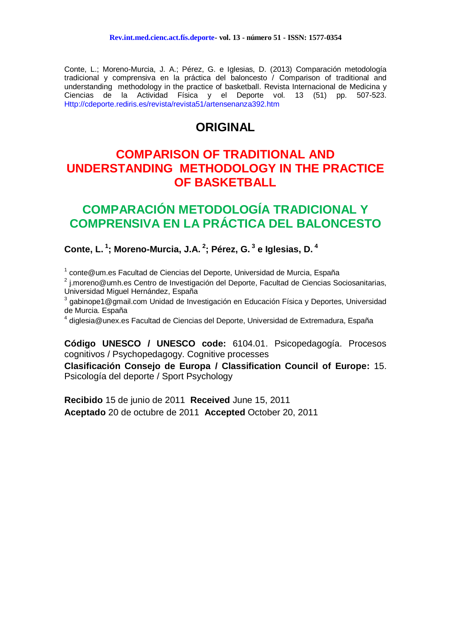Conte, L.; Moreno-Murcia, J. A.; Pérez, G. e Iglesias, D. (2013) Comparación metodología tradicional y comprensiva en la práctica del baloncesto / Comparison of traditional and understanding methodology in the practice of basketball. Revista Internacional de Medicina y Ciencias de la Actividad Física y el Deporte vol. 13 (51) pp. 507-523. Http://cdeporte.rediris.es/revista/revista51/artensenanza392.htm

# **ORIGINAL**

# **COMPARISON OF TRADITIONAL AND UNDERSTANDING METHODOLOGY IN THE PRACTICE OF BASKETBALL**

# **COMPARACIÓN METODOLOGÍA TRADICIONAL Y COMPRENSIVA EN LA PRÁCTICA DEL BALONCESTO**

**Conte, L. <sup>1</sup> ; Moreno-Murcia, J.A. <sup>2</sup> ; Pérez, G. <sup>3</sup> e Iglesias, D. <sup>4</sup>**

<sup>1</sup> conte@um.es Facultad de Ciencias del Deporte, Universidad de Murcia, España

<sup>2</sup> j.moreno@umh.es Centro de Investigación del Deporte, Facultad de Ciencias Sociosanitarias, Universidad Miguel Hernández, España

 $3$  gabinope1@gmail.com Unidad de Investigación en Educación Física y Deportes, Universidad de Murcia. España

<sup>4</sup> diglesia@unex.es Facultad de Ciencias del Deporte, Universidad de Extremadura, España

**Código UNESCO / UNESCO code:** 6104.01. Psicopedagogía. Procesos cognitivos / Psychopedagogy. Cognitive processes

**Clasificación Consejo de Europa / Classification Council of Europe:** 15. Psicología del deporte / Sport Psychology

**Recibido** 15 de junio de 2011 **Received** June 15, 2011 **Aceptado** 20 de octubre de 2011 **Accepted** October 20, 2011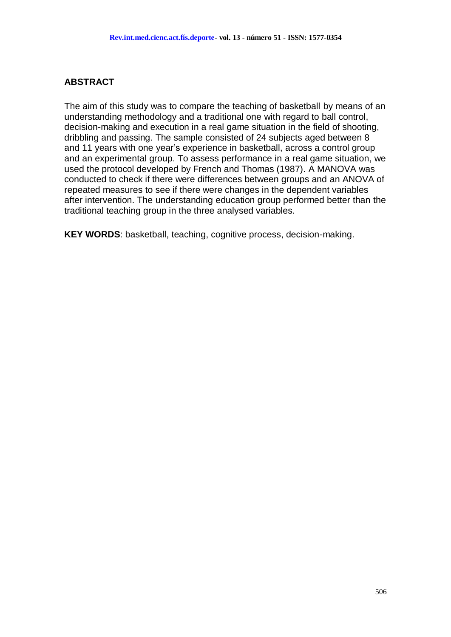## **ABSTRACT**

The aim of this study was to compare the teaching of basketball by means of an understanding methodology and a traditional one with regard to ball control, decision-making and execution in a real game situation in the field of shooting, dribbling and passing. The sample consisted of 24 subjects aged between 8 and 11 years with one year's experience in basketball, across a control group and an experimental group. To assess performance in a real game situation, we used the protocol developed by French and Thomas (1987). A MANOVA was conducted to check if there were differences between groups and an ANOVA of repeated measures to see if there were changes in the dependent variables after intervention. The understanding education group performed better than the traditional teaching group in the three analysed variables.

**KEY WORDS**: basketball, teaching, cognitive process, decision-making.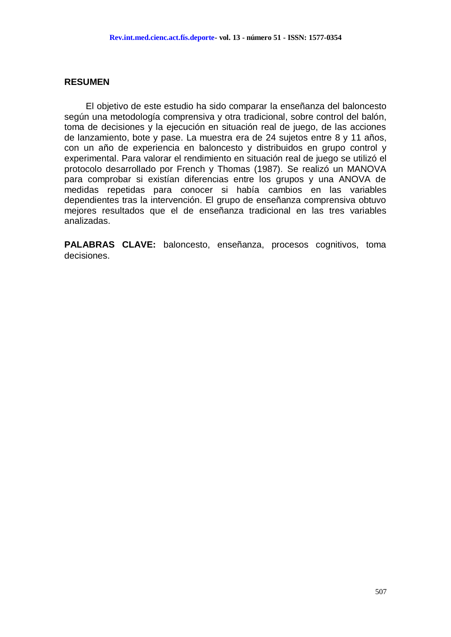#### **RESUMEN**

El objetivo de este estudio ha sido comparar la enseñanza del baloncesto según una metodología comprensiva y otra tradicional, sobre control del balón, toma de decisiones y la ejecución en situación real de juego, de las acciones de lanzamiento, bote y pase. La muestra era de 24 sujetos entre 8 y 11 años, con un año de experiencia en baloncesto y distribuidos en grupo control y experimental. Para valorar el rendimiento en situación real de juego se utilizó el protocolo desarrollado por French y Thomas (1987). Se realizó un MANOVA para comprobar si existían diferencias entre los grupos y una ANOVA de medidas repetidas para conocer si había cambios en las variables dependientes tras la intervención. El grupo de enseñanza comprensiva obtuvo mejores resultados que el de enseñanza tradicional en las tres variables analizadas.

**PALABRAS CLAVE:** baloncesto, enseñanza, procesos cognitivos, toma decisiones.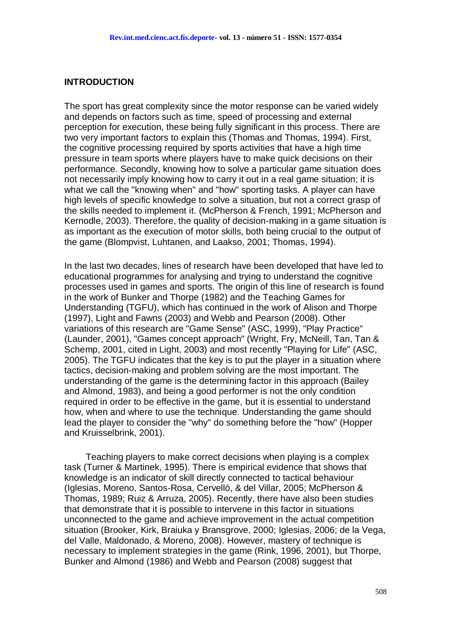#### **INTRODUCTION**

The sport has great complexity since the motor response can be varied widely and depends on factors such as time, speed of processing and external perception for execution, these being fully significant in this process. There are two very important factors to explain this (Thomas and Thomas, 1994). First, the cognitive processing required by sports activities that have a high time pressure in team sports where players have to make quick decisions on their performance. Secondly, knowing how to solve a particular game situation does not necessarily imply knowing how to carry it out in a real game situation; it is what we call the "knowing when" and "how" sporting tasks. A player can have high levels of specific knowledge to solve a situation, but not a correct grasp of the skills needed to implement it. (McPherson & French, 1991; McPherson and Kernodle, 2003). Therefore, the quality of decision-making in a game situation is as important as the execution of motor skills, both being crucial to the output of the game (Blompvist, Luhtanen, and Laakso, 2001; Thomas, 1994).

In the last two decades, lines of research have been developed that have led to educational programmes for analysing and trying to understand the cognitive processes used in games and sports. The origin of this line of research is found in the work of Bunker and Thorpe (1982) and the Teaching Games for Understanding (TGFU), which has continued in the work of Alison and Thorpe (1997), Light and Fawns (2003) and Webb and Pearson (2008). Other variations of this research are "Game Sense" (ASC, 1999), "Play Practice" (Launder, 2001), "Games concept approach" (Wright, Fry, McNeill, Tan, Tan & Schemp, 2001, cited in Light, 2003) and most recently "Playing for Life" (ASC, 2005). The TGFU indicates that the key is to put the player in a situation where tactics, decision-making and problem solving are the most important. The understanding of the game is the determining factor in this approach (Bailey and Almond, 1983), and being a good performer is not the only condition required in order to be effective in the game, but it is essential to understand how, when and where to use the technique. Understanding the game should lead the player to consider the "why" do something before the "how" (Hopper and Kruisselbrink, 2001).

Teaching players to make correct decisions when playing is a complex task (Turner & Martinek, 1995). There is empirical evidence that shows that knowledge is an indicator of skill directly connected to tactical behaviour (Iglesias, Moreno, Santos-Rosa, Cervelló, & del Villar, 2005; McPherson & Thomas, 1989; Ruiz & Arruza, 2005). Recently, there have also been studies that demonstrate that it is possible to intervene in this factor in situations unconnected to the game and achieve improvement in the actual competition situation (Brooker, Kirk, Braiuka y Bransgrove, 2000; Iglesias, 2006; de la Vega, del Valle, Maldonado, & Moreno, 2008). However, mastery of technique is necessary to implement strategies in the game (Rink, 1996, 2001), but Thorpe, Bunker and Almond (1986) and Webb and Pearson (2008) suggest that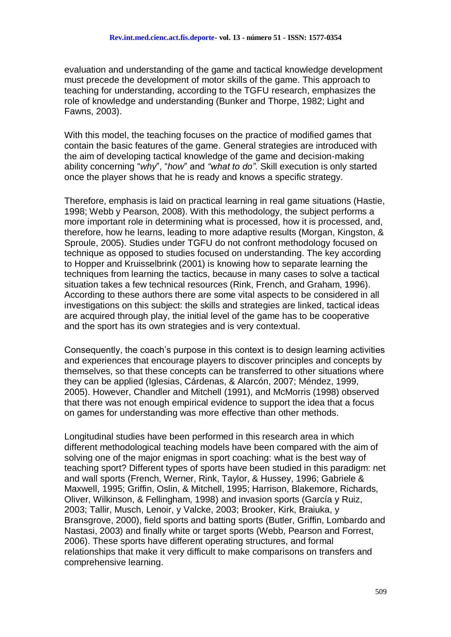evaluation and understanding of the game and tactical knowledge development must precede the development of motor skills of the game. This approach to teaching for understanding, according to the TGFU research, emphasizes the role of knowledge and understanding (Bunker and Thorpe, 1982; Light and Fawns, 2003).

With this model, the teaching focuses on the practice of modified games that contain the basic features of the game. General strategies are introduced with the aim of developing tactical knowledge of the game and decision-making ability concerning "*why*", "*how*" and *"what to do"*. Skill execution is only started once the player shows that he is ready and knows a specific strategy.

Therefore, emphasis is laid on practical learning in real game situations (Hastie, 1998; Webb y Pearson, 2008). With this methodology, the subject performs a more important role in determining what is processed, how it is processed, and, therefore, how he learns, leading to more adaptive results (Morgan, Kingston, & Sproule, 2005). Studies under TGFU do not confront methodology focused on technique as opposed to studies focused on understanding. The key according to Hopper and Kruisselbrink (2001) is knowing how to separate learning the techniques from learning the tactics, because in many cases to solve a tactical situation takes a few technical resources (Rink, French, and Graham, 1996). According to these authors there are some vital aspects to be considered in all investigations on this subject: the skills and strategies are linked, tactical ideas are acquired through play, the initial level of the game has to be cooperative and the sport has its own strategies and is very contextual.

Consequently, the coach's purpose in this context is to design learning activities and experiences that encourage players to discover principles and concepts by themselves, so that these concepts can be transferred to other situations where they can be applied (Iglesias, Cárdenas, & Alarcón, 2007; Méndez, 1999, 2005). However, Chandler and Mitchell (1991), and McMorris (1998) observed that there was not enough empirical evidence to support the idea that a focus on games for understanding was more effective than other methods.

Longitudinal studies have been performed in this research area in which different methodological teaching models have been compared with the aim of solving one of the major enigmas in sport coaching: what is the best way of teaching sport? Different types of sports have been studied in this paradigm: net and wall sports (French, Werner, Rink, Taylor, & Hussey, 1996; Gabriele & Maxwell, 1995; Griffin, Oslin, & Mitchell, 1995; Harrison, Blakemore, Richards, Oliver, Wilkinson, & Fellingham, 1998) and invasion sports (García y Ruiz, 2003; Tallir, Musch, Lenoir, y Valcke, 2003; Brooker, Kirk, Braiuka, y Bransgrove, 2000), field sports and batting sports (Butler, Griffin, Lombardo and Nastasi, 2003) and finally white or target sports (Webb, Pearson and Forrest, 2006). These sports have different operating structures, and formal relationships that make it very difficult to make comparisons on transfers and comprehensive learning.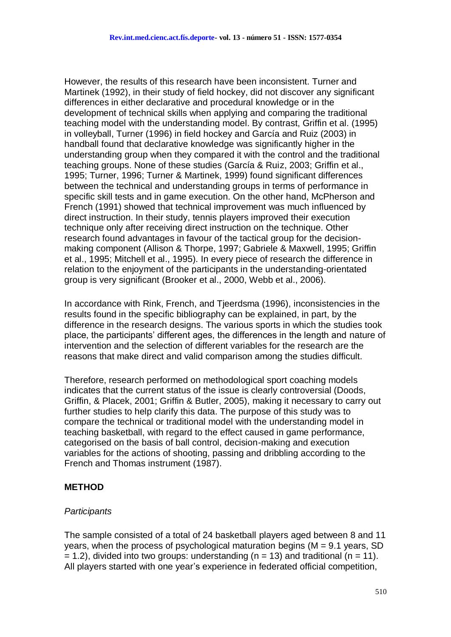However, the results of this research have been inconsistent. Turner and Martinek (1992), in their study of field hockey, did not discover any significant differences in either declarative and procedural knowledge or in the development of technical skills when applying and comparing the traditional teaching model with the understanding model. By contrast, Griffin et al. (1995) in volleyball, Turner (1996) in field hockey and García and Ruiz (2003) in handball found that declarative knowledge was significantly higher in the understanding group when they compared it with the control and the traditional teaching groups. None of these studies (García & Ruiz, 2003; Griffin et al., 1995; Turner, 1996; Turner & Martinek, 1999) found significant differences between the technical and understanding groups in terms of performance in specific skill tests and in game execution. On the other hand, McPherson and French (1991) showed that technical improvement was much influenced by direct instruction. In their study, tennis players improved their execution technique only after receiving direct instruction on the technique. Other research found advantages in favour of the tactical group for the decisionmaking component (Allison & Thorpe, 1997; Gabriele & Maxwell, 1995; Griffin et al., 1995; Mitchell et al., 1995). In every piece of research the difference in relation to the enjoyment of the participants in the understanding-orientated group is very significant (Brooker et al., 2000, Webb et al., 2006).

In accordance with Rink, French, and Tjeerdsma (1996), inconsistencies in the results found in the specific bibliography can be explained, in part, by the difference in the research designs. The various sports in which the studies took place, the participants' different ages, the differences in the length and nature of intervention and the selection of different variables for the research are the reasons that make direct and valid comparison among the studies difficult.

Therefore, research performed on methodological sport coaching models indicates that the current status of the issue is clearly controversial (Doods, Griffin, & Placek, 2001; Griffin & Butler, 2005), making it necessary to carry out further studies to help clarify this data. The purpose of this study was to compare the technical or traditional model with the understanding model in teaching basketball, with regard to the effect caused in game performance, categorised on the basis of ball control, decision-making and execution variables for the actions of shooting, passing and dribbling according to the French and Thomas instrument (1987).

## **METHOD**

#### *Participants*

The sample consisted of a total of 24 basketball players aged between 8 and 11 years, when the process of psychological maturation begins (M = 9.1 years, SD  $= 1.2$ ), divided into two groups: understanding (n = 13) and traditional (n = 11). All players started with one year's experience in federated official competition,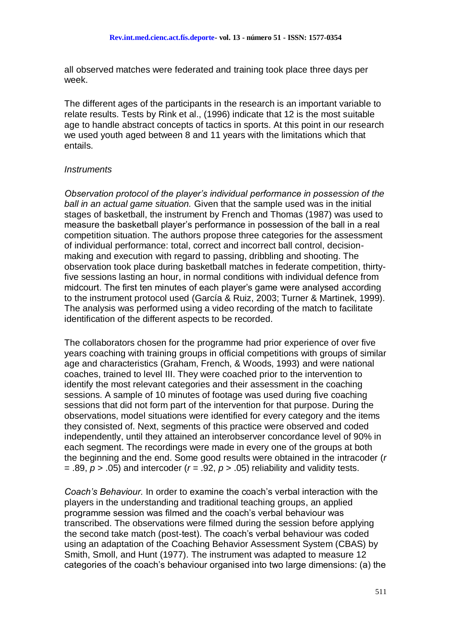all observed matches were federated and training took place three days per week.

The different ages of the participants in the research is an important variable to relate results. Tests by Rink et al., (1996) indicate that 12 is the most suitable age to handle abstract concepts of tactics in sports. At this point in our research we used youth aged between 8 and 11 years with the limitations which that entails.

#### *Instruments*

*Observation protocol of the player's individual performance in possession of the ball in an actual game situation.* Given that the sample used was in the initial stages of basketball, the instrument by French and Thomas (1987) was used to measure the basketball player's performance in possession of the ball in a real competition situation. The authors propose three categories for the assessment of individual performance: total, correct and incorrect ball control, decisionmaking and execution with regard to passing, dribbling and shooting. The observation took place during basketball matches in federate competition, thirtyfive sessions lasting an hour, in normal conditions with individual defence from midcourt. The first ten minutes of each player's game were analysed according to the instrument protocol used (García & Ruiz, 2003; Turner & Martinek, 1999). The analysis was performed using a video recording of the match to facilitate identification of the different aspects to be recorded.

The collaborators chosen for the programme had prior experience of over five years coaching with training groups in official competitions with groups of similar age and characteristics (Graham, French, & Woods, 1993) and were national coaches, trained to level III. They were coached prior to the intervention to identify the most relevant categories and their assessment in the coaching sessions. A sample of 10 minutes of footage was used during five coaching sessions that did not form part of the intervention for that purpose. During the observations, model situations were identified for every category and the items they consisted of. Next, segments of this practice were observed and coded independently, until they attained an interobserver concordance level of 90% in each segment. The recordings were made in every one of the groups at both the beginning and the end. Some good results were obtained in the intracoder (*r*  $=$  .89,  $p > 0.05$ ) and intercoder ( $r = 0.92$ ,  $p > 0.05$ ) reliability and validity tests.

*Coach's Behaviour.* In order to examine the coach's verbal interaction with the players in the understanding and traditional teaching groups, an applied programme session was filmed and the coach's verbal behaviour was transcribed. The observations were filmed during the session before applying the second take match (post-test). The coach's verbal behaviour was coded using an adaptation of the Coaching Behavior Assessment System (CBAS) by Smith, Smoll, and Hunt (1977). The instrument was adapted to measure 12 categories of the coach's behaviour organised into two large dimensions: (a) the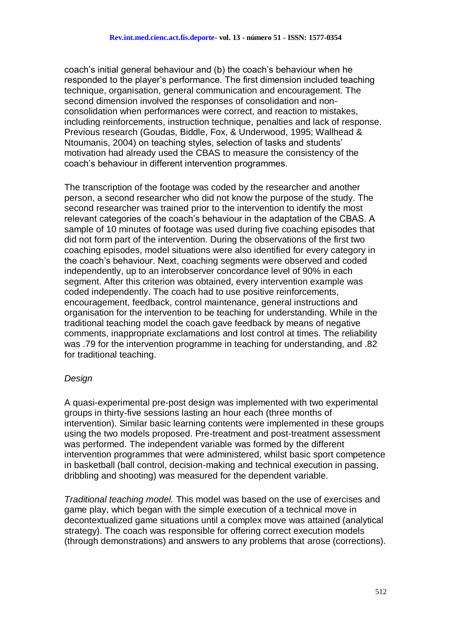coach's initial general behaviour and (b) the coach's behaviour when he responded to the player's performance. The first dimension included teaching technique, organisation, general communication and encouragement. The second dimension involved the responses of consolidation and nonconsolidation when performances were correct, and reaction to mistakes, including reinforcements, instruction technique, penalties and lack of response. Previous research (Goudas, Biddle, Fox, & Underwood, 1995; Wallhead & Ntoumanis, 2004) on teaching styles, selection of tasks and students' motivation had already used the CBAS to measure the consistency of the coach's behaviour in different intervention programmes.

The transcription of the footage was coded by the researcher and another person, a second researcher who did not know the purpose of the study. The second researcher was trained prior to the intervention to identify the most relevant categories of the coach's behaviour in the adaptation of the CBAS. A sample of 10 minutes of footage was used during five coaching episodes that did not form part of the intervention. During the observations of the first two coaching episodes, model situations were also identified for every category in the coach's behaviour. Next, coaching segments were observed and coded independently, up to an interobserver concordance level of 90% in each segment. After this criterion was obtained, every intervention example was coded independently. The coach had to use positive reinforcements, encouragement, feedback, control maintenance, general instructions and organisation for the intervention to be teaching for understanding. While in the traditional teaching model the coach gave feedback by means of negative comments, inappropriate exclamations and lost control at times. The reliability was .79 for the intervention programme in teaching for understanding, and .82 for traditional teaching.

#### *Design*

A quasi-experimental pre-post design was implemented with two experimental groups in thirty-five sessions lasting an hour each (three months of intervention). Similar basic learning contents were implemented in these groups using the two models proposed. Pre-treatment and post-treatment assessment was performed. The independent variable was formed by the different intervention programmes that were administered, whilst basic sport competence in basketball (ball control, decision-making and technical execution in passing, dribbling and shooting) was measured for the dependent variable.

*Traditional teaching model.* This model was based on the use of exercises and game play, which began with the simple execution of a technical move in decontextualized game situations until a complex move was attained (analytical strategy). The coach was responsible for offering correct execution models (through demonstrations) and answers to any problems that arose (corrections).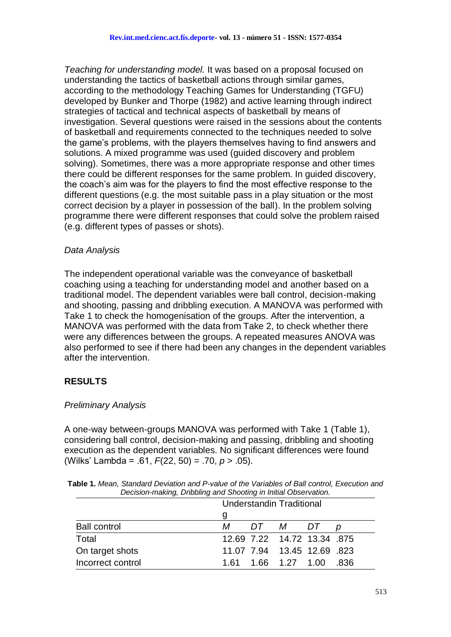*Teaching for understanding model.* It was based on a proposal focused on understanding the tactics of basketball actions through similar games, according to the methodology Teaching Games for Understanding (TGFU) developed by Bunker and Thorpe (1982) and active learning through indirect strategies of tactical and technical aspects of basketball by means of investigation. Several questions were raised in the sessions about the contents of basketball and requirements connected to the techniques needed to solve the game's problems, with the players themselves having to find answers and solutions. A mixed programme was used (guided discovery and problem solving). Sometimes, there was a more appropriate response and other times there could be different responses for the same problem. In guided discovery, the coach's aim was for the players to find the most effective response to the different questions (e.g. the most suitable pass in a play situation or the most correct decision by a player in possession of the ball). In the problem solving programme there were different responses that could solve the problem raised (e.g. different types of passes or shots).

### *Data Analysis*

The independent operational variable was the conveyance of basketball coaching using a teaching for understanding model and another based on a traditional model. The dependent variables were ball control, decision-making and shooting, passing and dribbling execution. A MANOVA was performed with Take 1 to check the homogenisation of the groups. After the intervention, a MANOVA was performed with the data from Take 2, to check whether there were any differences between the groups. A repeated measures ANOVA was also performed to see if there had been any changes in the dependent variables after the intervention.

## **RESULTS**

## *Preliminary Analysis*

A one-way between-groups MANOVA was performed with Take 1 (Table 1), considering ball control, decision-making and passing, dribbling and shooting execution as the dependent variables. No significant differences were found (Wilks' Lambda = .61, *F*(22, 50) = .70, *p* > .05).

|                     | <b>Understandin Traditional</b> |      |  |  |  |  |
|---------------------|---------------------------------|------|--|--|--|--|
|                     | g                               |      |  |  |  |  |
| <b>Ball control</b> | DT M DT<br>М                    |      |  |  |  |  |
| Total               | 12.69 7.22 14.72 13.34 .875     |      |  |  |  |  |
| On target shots     | 11.07 7.94 13.45 12.69 .823     |      |  |  |  |  |
| Incorrect control   | 1.61  1.66  1.27  1.00          | -836 |  |  |  |  |

**Table 1.** *Mean, Standard Deviation and P-value of the Variables of Ball control, Execution and Decision-making, Dribbling and Shooting in Initial Observation.*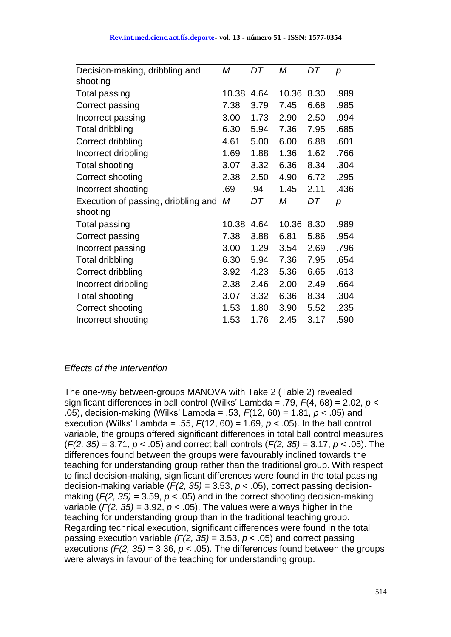| Decision-making, dribbling and<br>shooting | Μ     | DT   | М     | DT   | p    |
|--------------------------------------------|-------|------|-------|------|------|
| <b>Total passing</b>                       | 10.38 | 4.64 | 10.36 | 8.30 | .989 |
| Correct passing                            | 7.38  | 3.79 | 7.45  | 6.68 | .985 |
| Incorrect passing                          | 3.00  | 1.73 | 2.90  | 2.50 | .994 |
| Total dribbling                            | 6.30  | 5.94 | 7.36  | 7.95 | .685 |
| Correct dribbling                          | 4.61  | 5.00 | 6.00  | 6.88 | .601 |
| Incorrect dribbling                        | 1.69  | 1.88 | 1.36  | 1.62 | .766 |
| <b>Total shooting</b>                      | 3.07  | 3.32 | 6.36  | 8.34 | .304 |
| Correct shooting                           | 2.38  | 2.50 | 4.90  | 6.72 | .295 |
| Incorrect shooting                         | .69   | .94  | 1.45  | 2.11 | .436 |
| Execution of passing, dribbling and        | М     | DT   | Μ     | DT   | p    |
| shooting                                   |       |      |       |      |      |
| <b>Total passing</b>                       | 10.38 | 4.64 | 10.36 | 8.30 | .989 |
| Correct passing                            | 7.38  | 3.88 | 6.81  | 5.86 | .954 |
| Incorrect passing                          | 3.00  | 1.29 | 3.54  | 2.69 | .796 |
| Total dribbling                            | 6.30  | 5.94 | 7.36  | 7.95 | .654 |
| Correct dribbling                          | 3.92  | 4.23 | 5.36  | 6.65 | .613 |
| Incorrect dribbling                        | 2.38  | 2.46 | 2.00  | 2.49 | .664 |
| Total shooting                             | 3.07  | 3.32 | 6.36  | 8.34 | .304 |
| Correct shooting                           | 1.53  | 1.80 | 3.90  | 5.52 | .235 |
| Incorrect shooting                         | 1.53  | 1.76 | 2.45  | 3.17 | .590 |

#### *Effects of the Intervention*

The one-way between-groups MANOVA with Take 2 (Table 2) revealed significant differences in ball control (Wilks' Lambda = .79, *F*(4, 68) = 2.02, *p* < .05), decision-making (Wilks' Lambda = .53, *F*(12, 60) = 1.81, *p* < .05) and execution (Wilks' Lambda = .55, *F*(12, 60) = 1.69, *p* < .05). In the ball control variable, the groups offered significant differences in total ball control measures (*F(2, 35)* = 3.71, *p* < .05) and correct ball controls (*F(2, 35)* = 3.17, *p* < .05). The differences found between the groups were favourably inclined towards the teaching for understanding group rather than the traditional group. With respect to final decision-making, significant differences were found in the total passing decision-making variable  $(F(2, 35) = 3.53, p < .05)$ , correct passing decisionmaking  $(F(2, 35) = 3.59, p < .05)$  and in the correct shooting decision-making variable  $(F(2, 35) = 3.92, p < .05)$ . The values were always higher in the teaching for understanding group than in the traditional teaching group. Regarding technical execution, significant differences were found in the total passing execution variable *(F(2, 35)* = 3.53, *p* < .05) and correct passing executions  $(F(2, 35) = 3.36, p < .05)$ . The differences found between the groups were always in favour of the teaching for understanding group.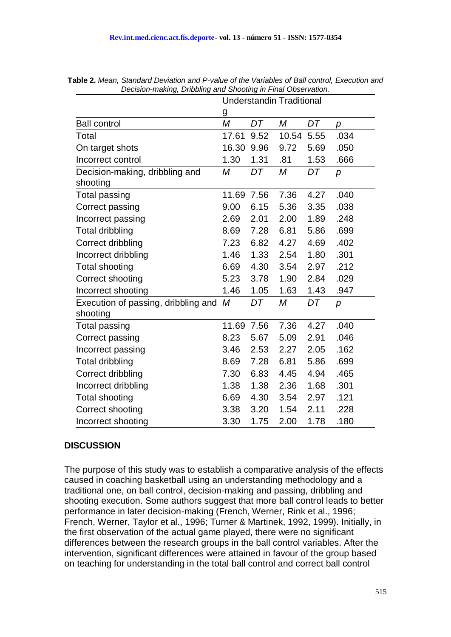|                                                 | <b>Understandin Traditional</b> |      |       |      |                |
|-------------------------------------------------|---------------------------------|------|-------|------|----------------|
|                                                 | g                               |      |       |      |                |
| <b>Ball control</b>                             | $\overline{M}$                  | DT   | M     | DT   | p              |
| Total                                           | 17.61                           | 9.52 | 10.54 | 5.55 | .034           |
| On target shots                                 | 16.30                           | 9.96 | 9.72  | 5.69 | .050           |
| Incorrect control                               | 1.30                            | 1.31 | .81   | 1.53 | .666           |
| Decision-making, dribbling and<br>shooting      | M                               | DT   | M     | DT   | p              |
| <b>Total passing</b>                            | 11.69                           | 7.56 | 7.36  | 4.27 | .040           |
| Correct passing                                 | 9.00                            | 6.15 | 5.36  | 3.35 | .038           |
| Incorrect passing                               | 2.69                            | 2.01 | 2.00  | 1.89 | .248           |
| <b>Total dribbling</b>                          | 8.69                            | 7.28 | 6.81  | 5.86 | .699           |
| Correct dribbling                               | 7.23                            | 6.82 | 4.27  | 4.69 | .402           |
| Incorrect dribbling                             | 1.46                            | 1.33 | 2.54  | 1.80 | .301           |
| <b>Total shooting</b>                           | 6.69                            | 4.30 | 3.54  | 2.97 | .212           |
| Correct shooting                                | 5.23                            | 3.78 | 1.90  | 2.84 | .029           |
| Incorrect shooting                              | 1.46                            | 1.05 | 1.63  | 1.43 | .947           |
| Execution of passing, dribbling and<br>shooting | M                               | DT   | М     | DT   | $\overline{p}$ |
| <b>Total passing</b>                            | 11.69                           | 7.56 | 7.36  | 4.27 | .040           |
| Correct passing                                 | 8.23                            | 5.67 | 5.09  | 2.91 | .046           |
| Incorrect passing                               | 3.46                            | 2.53 | 2.27  | 2.05 | .162           |
| <b>Total dribbling</b>                          | 8.69                            | 7.28 | 6.81  | 5.86 | .699           |
| Correct dribbling                               | 7.30                            | 6.83 | 4.45  | 4.94 | .465           |
| Incorrect dribbling                             | 1.38                            | 1.38 | 2.36  | 1.68 | .301           |
| <b>Total shooting</b>                           | 6.69                            | 4.30 | 3.54  | 2.97 | .121           |
| Correct shooting                                | 3.38                            | 3.20 | 1.54  | 2.11 | .228           |
| Incorrect shooting                              | 3.30                            | 1.75 | 2.00  | 1.78 | .180           |

**Table 2.** *Mean, Standard Deviation and P-value of the Variables of Ball control, Execution and Decision-making, Dribbling and Shooting in Final Observation.*

## **DISCUSSION**

The purpose of this study was to establish a comparative analysis of the effects caused in coaching basketball using an understanding methodology and a traditional one, on ball control, decision-making and passing, dribbling and shooting execution. Some authors suggest that more ball control leads to better performance in later decision-making (French, Werner, Rink et al., 1996; French, Werner, Taylor et al., 1996; Turner & Martinek, 1992, 1999). Initially, in the first observation of the actual game played, there were no significant differences between the research groups in the ball control variables. After the intervention, significant differences were attained in favour of the group based on teaching for understanding in the total ball control and correct ball control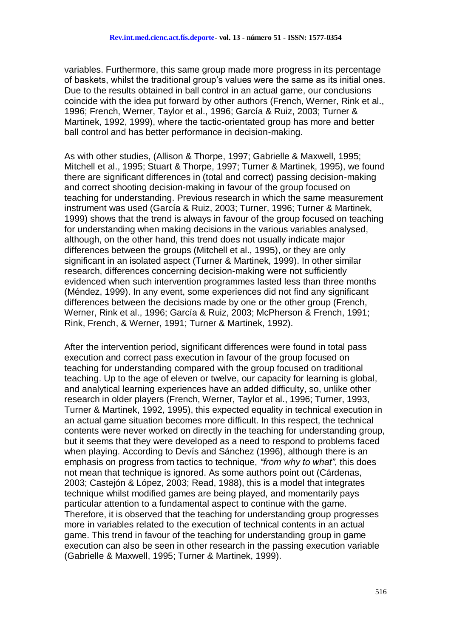variables. Furthermore, this same group made more progress in its percentage of baskets, whilst the traditional group's values were the same as its initial ones. Due to the results obtained in ball control in an actual game, our conclusions coincide with the idea put forward by other authors (French, Werner, Rink et al., 1996; French, Werner, Taylor et al., 1996; García & Ruiz, 2003; Turner & Martinek, 1992, 1999), where the tactic-orientated group has more and better ball control and has better performance in decision-making.

As with other studies, (Allison & Thorpe, 1997; Gabrielle & Maxwell, 1995; Mitchell et al., 1995; Stuart & Thorpe, 1997; Turner & Martinek, 1995), we found there are significant differences in (total and correct) passing decision-making and correct shooting decision-making in favour of the group focused on teaching for understanding. Previous research in which the same measurement instrument was used (García & Ruiz, 2003; Turner, 1996; Turner & Martinek, 1999) shows that the trend is always in favour of the group focused on teaching for understanding when making decisions in the various variables analysed, although, on the other hand, this trend does not usually indicate major differences between the groups (Mitchell et al., 1995), or they are only significant in an isolated aspect (Turner & Martinek, 1999). In other similar research, differences concerning decision-making were not sufficiently evidenced when such intervention programmes lasted less than three months (Méndez, 1999). In any event, some experiences did not find any significant differences between the decisions made by one or the other group (French, Werner, Rink et al., 1996; García & Ruiz, 2003; McPherson & French, 1991; Rink, French, & Werner, 1991; Turner & Martinek, 1992).

After the intervention period, significant differences were found in total pass execution and correct pass execution in favour of the group focused on teaching for understanding compared with the group focused on traditional teaching. Up to the age of eleven or twelve, our capacity for learning is global, and analytical learning experiences have an added difficulty, so, unlike other research in older players (French, Werner, Taylor et al., 1996; Turner, 1993, Turner & Martinek, 1992, 1995), this expected equality in technical execution in an actual game situation becomes more difficult. In this respect, the technical contents were never worked on directly in the teaching for understanding group, but it seems that they were developed as a need to respond to problems faced when playing. According to Devís and Sánchez (1996), although there is an emphasis on progress from tactics to technique, *"from why to what"*, this does not mean that technique is ignored. As some authors point out (Cárdenas, 2003; Castejón & López, 2003; Read, 1988), this is a model that integrates technique whilst modified games are being played, and momentarily pays particular attention to a fundamental aspect to continue with the game. Therefore, it is observed that the teaching for understanding group progresses more in variables related to the execution of technical contents in an actual game. This trend in favour of the teaching for understanding group in game execution can also be seen in other research in the passing execution variable (Gabrielle & Maxwell, 1995; Turner & Martinek, 1999).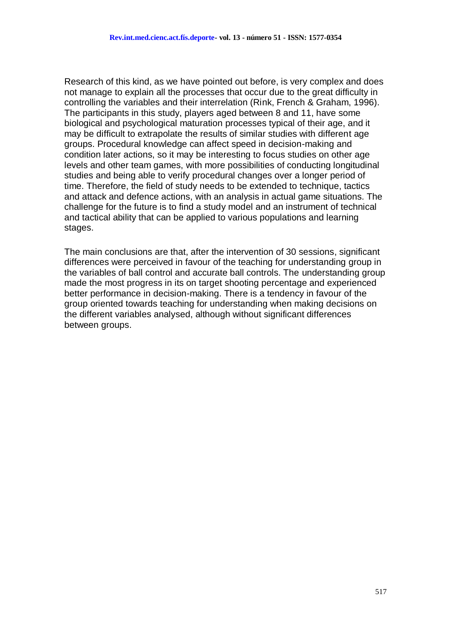Research of this kind, as we have pointed out before, is very complex and does not manage to explain all the processes that occur due to the great difficulty in controlling the variables and their interrelation (Rink, French & Graham, 1996). The participants in this study, players aged between 8 and 11, have some biological and psychological maturation processes typical of their age, and it may be difficult to extrapolate the results of similar studies with different age groups. Procedural knowledge can affect speed in decision-making and condition later actions, so it may be interesting to focus studies on other age levels and other team games, with more possibilities of conducting longitudinal studies and being able to verify procedural changes over a longer period of time. Therefore, the field of study needs to be extended to technique, tactics and attack and defence actions, with an analysis in actual game situations. The challenge for the future is to find a study model and an instrument of technical and tactical ability that can be applied to various populations and learning stages.

The main conclusions are that, after the intervention of 30 sessions, significant differences were perceived in favour of the teaching for understanding group in the variables of ball control and accurate ball controls. The understanding group made the most progress in its on target shooting percentage and experienced better performance in decision-making. There is a tendency in favour of the group oriented towards teaching for understanding when making decisions on the different variables analysed, although without significant differences between groups.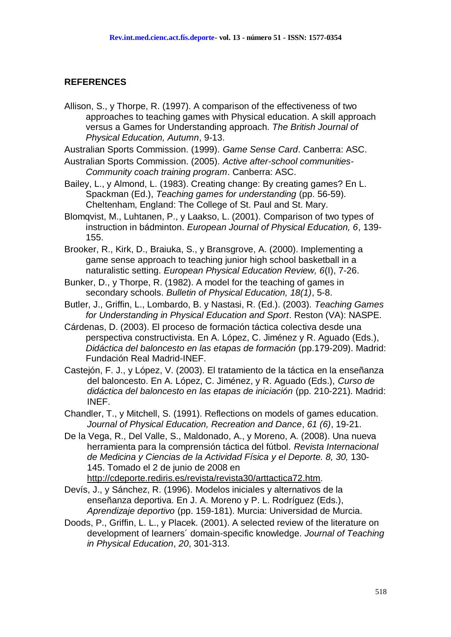#### **REFERENCES**

Allison, S., y Thorpe, R. (1997). A comparison of the effectiveness of two approaches to teaching games with Physical education. A skill approach versus a Games for Understanding approach. *The British Journal of Physical Education, Autumn*, 9-13.

Australian Sports Commission. (1999). *Game Sense Card*. Canberra: ASC.

- Australian Sports Commission. (2005). *Active after-school communities-Community coach training program*. Canberra: ASC.
- Bailey, L., y Almond, L. (1983). Creating change: By creating games? En L. Spackman (Ed.), *Teaching games for understanding* (pp. 56-59). Cheltenham, England: The College of St. Paul and St. Mary.
- Blomqvist, M., Luhtanen, P., y Laakso, L. (2001). Comparison of two types of instruction in bádminton. *European Journal of Physical Education, 6*, 139- 155.
- Brooker, R., Kirk, D., Braiuka, S., y Bransgrove, A. (2000). Implementing a game sense approach to teaching junior high school basketball in a naturalistic setting. *European Physical Education Review, 6*(I), 7-26.
- Bunker, D., y Thorpe, R. (1982). A model for the teaching of games in secondary schools. *Bulletin of Physical Education, 18(1)*, 5-8.
- Butler, J., Griffin, L., Lombardo, B. y Nastasi, R. (Ed.). (2003). *Teaching Games for Understanding in Physical Education and Sport*. Reston (VA): NASPE.
- Cárdenas, D. (2003). El proceso de formación táctica colectiva desde una perspectiva constructivista. En A. López, C. Jiménez y R. Aguado (Eds.), *Didáctica del baloncesto en las etapas de formación* (pp.179-209). Madrid: Fundación Real Madrid-INEF.
- Castejón, F. J., y López, V. (2003). El tratamiento de la táctica en la enseñanza del baloncesto. En A. López, C. Jiménez, y R. Aguado (Eds.), *Curso de didáctica del baloncesto en las etapas de iniciación* (pp. 210-221). Madrid: INEF.
- Chandler, T., y Mitchell, S. (1991). Reflections on models of games education. *Journal of Physical Education, Recreation and Dance*, *61 (6)*, 19-21.
- De la Vega, R., Del Valle, S., Maldonado, A., y Moreno, A. (2008). Una nueva herramienta para la comprensión táctica del fútbol. *Revista Internacional de Medicina y Ciencias de la Actividad Física y el Deporte. 8, 30,* 130- 145. Tomado el 2 de junio de 2008 en

[http://cdeporte.rediris.es/revista/revista30/arttactica72.htm.](http://cdeporte.rediris.es/revista/revista30/arttactica72.htm)

- Devís, J., y Sánchez, R. (1996). Modelos iniciales y alternativos de la enseñanza deportiva. En J. A. Moreno y P. L. Rodríguez (Eds.), *Aprendizaje deportivo* (pp. 159-181). Murcia: Universidad de Murcia.
- Doods, P., Griffin, L. L., y Placek. (2001). A selected review of the literature on development of learners´ domain-specific knowledge. *Journal of Teaching in Physical Education*, *20*, 301-313.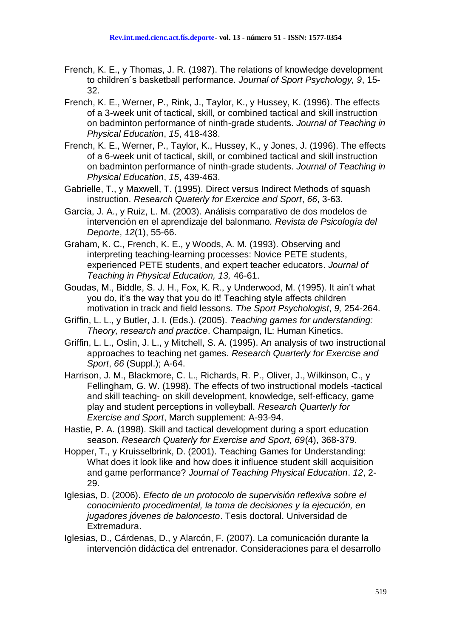- French, K. E., y Thomas, J. R. (1987). The relations of knowledge development to children´s basketball performance. *Journal of Sport Psychology, 9*, 15- 32.
- French, K. E., Werner, P., Rink, J., Taylor, K., y Hussey, K. (1996). The effects of a 3-week unit of tactical, skill, or combined tactical and skill instruction on badminton performance of ninth-grade students. *Journal of Teaching in Physical Education*, *15*, 418-438.
- French, K. E., Werner, P., Taylor, K., Hussey, K., y Jones, J. (1996). The effects of a 6-week unit of tactical, skill, or combined tactical and skill instruction on badminton performance of ninth-grade students. *Journal of Teaching in Physical Education*, *15*, 439-463.
- Gabrielle, T., y Maxwell, T. (1995). Direct versus Indirect Methods of squash instruction. *Research Quaterly for Exercice and Sport*, *66*, 3-63.
- García, J. A., y Ruiz, L. M. (2003). Análisis comparativo de dos modelos de intervención en el aprendizaje del balonmano*. Revista de Psicología del Deporte*, *12*(1), 55-66.
- Graham, K. C., French, K. E., y Woods, A. M. (1993). Observing and interpreting teaching-learning processes: Novice PETE students, experienced PETE students, and expert teacher educators. *Journal of Teaching in Physical Education, 13,* 46-61.
- Goudas, M., Biddle, S. J. H., Fox, K. R., y Underwood, M. (1995). It ain't what you do, it's the way that you do it! Teaching style affects children motivation in track and field lessons. *The Sport Psychologist*, *9,* 254-264.
- Griffin, L. L., y Butler, J. I. (Eds.). (2005). *Teaching games for understanding: Theory, research and practice*. Champaign, IL: Human Kinetics.
- Griffin, L. L., Oslin, J. L., y Mitchell, S. A. (1995). An analysis of two instructional approaches to teaching net games. *Research Quarterly for Exercise and Sport*, *66* (Suppl.); A-64.
- Harrison, J. M., Blackmore, C. L., Richards, R. P., Oliver, J., Wilkinson, C., y Fellingham, G. W. (1998). The effects of two instructional models -tactical and skill teaching- on skill development, knowledge, self-efficacy, game play and student perceptions in volleyball. *Research Quarterly for Exercise and Sport*, March supplement: A-93-94.
- Hastie, P. A. (1998). Skill and tactical development during a sport education season. *Research Quaterly for Exercise and Sport, 69*(4), 368-379.
- Hopper, T., y Kruisselbrink, D. (2001). Teaching Games for Understanding: What does it look like and how does it influence student skill acquisition and game performance? *Journal of Teaching Physical Education*. *12*, 2- 29.
- Iglesias, D. (2006). *Efecto de un protocolo de supervisión reflexiva sobre el conocimiento procedimental, la toma de decisiones y la ejecución, en jugadores jóvenes de baloncesto*. Tesis doctoral. Universidad de Extremadura.
- Iglesias, D., Cárdenas, D., y Alarcón, F. (2007). La comunicación durante la intervención didáctica del entrenador. Consideraciones para el desarrollo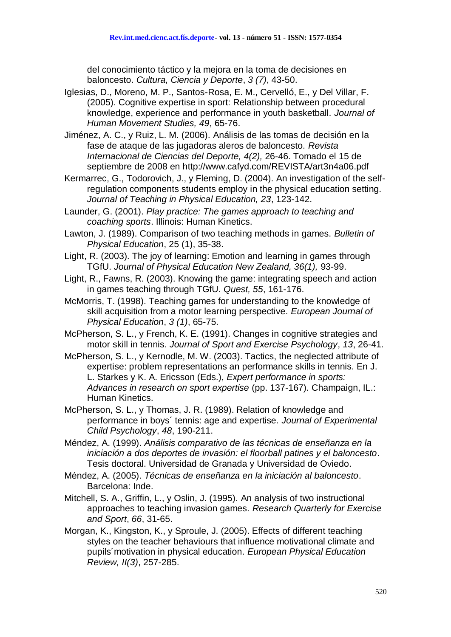del conocimiento táctico y la mejora en la toma de decisiones en baloncesto. *Cultura, Ciencia y Deporte*, *3 (7)*, 43-50.

- Iglesias, D., Moreno, M. P., Santos-Rosa, E. M., Cervelló, E., y Del Villar, F. (2005). Cognitive expertise in sport: Relationship between procedural knowledge, experience and performance in youth basketball. *Journal of Human Movement Studies, 49*, 65-76.
- Jiménez, A. C., y Ruiz, L. M. (2006). Análisis de las tomas de decisión en la fase de ataque de las jugadoras aleros de baloncesto. *Revista Internacional de Ciencias del Deporte, 4(2),* 26-46. Tomado el 15 de septiembre de 2008 en http://www.cafyd.com/REVISTA/art3n4a06.pdf
- [Kermarrec,](http://www.humankinetics.com/JTPE/viewbio.cfm?jid=3ss8Zde7xgTvdf4gd2hDtgd4paqqD6Rsj677HHLdeM7vR&auid=6362801&site=3ss8Zde7xgTvdf4gd2hDtgd4paqqD6Rsj677HHLdeM7vR) G., [Todorovich,](http://www.humankinetics.com/JTPE/viewbio.cfm?jid=TJFND7rac82ANyzg4yCFAq8vm72pGgwVu6DU4F4Q8Ty2Kb&auid=8149860&site=TJFND7rac82ANyzg4yCFAq8vm72pGgwVu6DU4F4Q8Ty2Kb) J., y [Fleming,](http://www.humankinetics.com/JTPE/viewbio.cfm?jid=ejF7b3g4X6jPXm3NR4qNPGD4sjJY224482TFgwNEbfxDEhy42&auid=9372948&site=ejF7b3g4X6jPXm3NR4qNPGD4sjJY224482TFgwNEbfxDEhy42) D. (2004). An investigation of the selfregulation components students employ in the physical education setting. *Journal of Teaching in Physical Education, 23*, 123-142.
- Launder, G. (2001). *Play practice: The games approach to teaching and coaching sports*. Illinois: Human Kinetics.
- Lawton, J. (1989). Comparison of two teaching methods in games. *Bulletin of Physical Education*, 25 (1), 35-38.
- Light, R. (2003). The joy of learning: Emotion and learning in games through TGfU. *Journal of Physical Education New Zealand, 36(1),* 93-99.
- Light, R., Fawns, R. (2003). Knowing the game: integrating speech and action in games teaching through TGfU. *Quest, 55*, 161-176.
- McMorris, T. (1998). Teaching games for understanding to the knowledge of skill acquisition from a motor learning perspective. *European Journal of Physical Education*, *3 (1)*, 65-75.
- McPherson, S. L., y French, K. E. (1991). Changes in cognitive strategies and motor skill in tennis. *Journal of Sport and Exercise Psychology*, *13*, 26-41.
- McPherson, S. L., y Kernodle, M. W. (2003). Tactics, the neglected attribute of expertise: problem representations an performance skills in tennis. En J. L. Starkes y K. A. Ericsson (Eds.), *Expert performance in sports: Advances in research on sport expertise* (pp. 137-167). Champaign, IL.: Human Kinetics.
- McPherson, S. L., y Thomas, J. R. (1989). Relation of knowledge and performance in boys´ tennis: age and expertise. *Journal of Experimental Child Psychology*, *48*, 190-211.
- Méndez, A. (1999). *Análisis comparativo de las técnicas de enseñanza en la iniciación a dos deportes de invasión: el floorball patines y el baloncesto*. Tesis doctoral. Universidad de Granada y Universidad de Oviedo.
- Méndez, A. (2005). *Técnicas de enseñanza en la iniciación al baloncesto*. Barcelona: Inde.
- Mitchell, S. A., Griffin, L., y Oslin, J. (1995). An analysis of two instructional approaches to teaching invasion games. *Research Quarterly for Exercise and Sport*, *66*, 31-65.
- Morgan, K., Kingston, K., y Sproule, J. (2005). Effects of different teaching styles on the teacher behaviours that influence motivational climate and pupils´motivation in physical education. *European Physical Education Review, II(3)*, 257-285.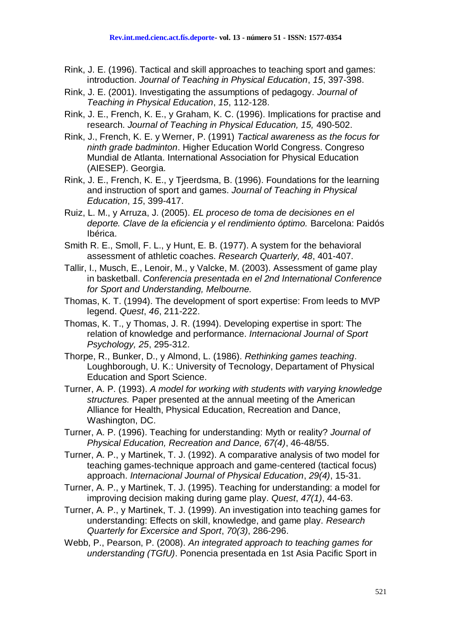- Rink, J. E. (1996). Tactical and skill approaches to teaching sport and games: introduction. *Journal of Teaching in Physical Education*, *15*, 397-398.
- Rink, J. E. (2001). Investigating the assumptions of pedagogy. *Journal of Teaching in Physical Education*, *15*, 112-128.
- Rink, J. E., French, K. E., y Graham, K. C. (1996). Implications for practise and research. *Journal of Teaching in Physical Education, 15,* 490-502.
- Rink, J., French, K. E. y Werner, P. (1991) *Tactical awareness as the focus for ninth grade badminton*. Higher Education World Congress. Congreso Mundial de Atlanta. International Association for Physical Education (AIESEP). Georgia.
- Rink, J. E., French, K. E., y Tjeerdsma, B. (1996). Foundations for the learning and instruction of sport and games. *Journal of Teaching in Physical Education*, *15*, 399-417.
- Ruiz, L. M., y Arruza, J. (2005). *EL proceso de toma de decisiones en el deporte. Clave de la eficiencia y el rendimiento óptimo.* Barcelona: Paidós Ibérica.
- Smith R. E., Smoll, F. L., y Hunt, E. B. (1977). A system for the behavioral assessment of athletic coaches. *Research Quarterly, 48*, 401-407.
- Tallir, I., Musch, E., Lenoir, M., y Valcke, M. (2003). Assessment of game play in basketball. *Conferencia presentada en el 2nd International Conference for Sport and Understanding, Melbourne.*
- Thomas, K. T. (1994). The development of sport expertise: From leeds to MVP legend. *Quest*, *46*, 211-222.
- Thomas, K. T., y Thomas, J. R. (1994). Developing expertise in sport: The relation of knowledge and performance. *Internacional Journal of Sport Psychology, 25*, 295-312.
- Thorpe, R., Bunker, D., y Almond, L. (1986). *Rethinking games teaching*. Loughborough, U. K.: University of Tecnology, Departament of Physical Education and Sport Science.
- Turner, A. P. (1993). *A model for working with students with varying knowledge structures.* Paper presented at the annual meeting of the American Alliance for Health, Physical Education, Recreation and Dance, Washington, DC.
- Turner, A. P. (1996). Teaching for understanding: Myth or reality? *Journal of Physical Education, Recreation and Dance, 67(4)*, 46-48/55.
- Turner, A. P., y Martinek, T. J. (1992). A comparative analysis of two model for teaching games-technique approach and game-centered (tactical focus) approach. *Internacional Journal of Physical Education*, *29(4)*, 15-31.
- Turner, A. P., y Martinek, T. J. (1995). Teaching for understanding: a model for improving decision making during game play. *Quest*, *47(1)*, 44-63.
- Turner, A. P., y Martinek, T. J. (1999). An investigation into teaching games for understanding: Effects on skill, knowledge, and game play. *Research Quarterly for Excersice and Sport*, *70(3)*, 286-296.
- Webb, P., Pearson, P. (2008). *An integrated approach to teaching games for understanding (TGfU)*. Ponencia presentada en 1st Asia Pacific Sport in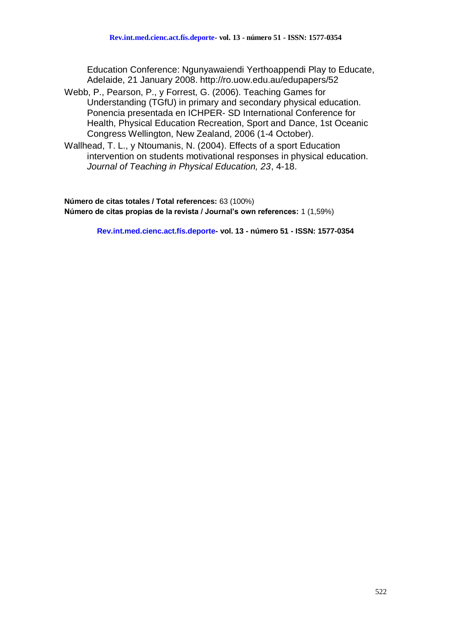Education Conference: Ngunyawaiendi Yerthoappendi Play to Educate, Adelaide, 21 January 2008. http://ro.uow.edu.au/edupapers/52

- Webb, P., Pearson, P., y Forrest, G. (2006). Teaching Games for Understanding (TGfU) in primary and secondary physical education. Ponencia presentada en ICHPER- SD International Conference for Health, Physical Education Recreation, Sport and Dance, 1st Oceanic Congress Wellington, New Zealand, 2006 (1-4 October).
- Wallhead, T. L., y Ntoumanis, N. (2004). Effects of a sport Education intervention on students motivational responses in physical education. *Journal of Teaching in Physical Education, 23*, 4-18.

**Número de citas totales / Total references:** 63 (100%) **Número de citas propias de la revista / Journal's own references:** 1 (1,59%)

**Rev.int.med.cienc.act.fís.deporte- vol. 13 - número 51 - ISSN: 1577-0354**